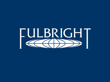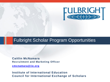

#### Fulbright Scholar Program Opportunities

**Caitlin McNamara Recruitment and Marketing Officer**

**[cmcnamara@iie.org](mailto:cmcnamara@iie.org)**

**Institute of International Education Council for International Exchange of Scholars**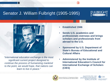### Senator J. William Fulbright (1905-1995)





*"International education exchange is the most significant current project designed to continue the process of humanizing mankind to the point, we would hope, that nations can learn to live in peace."*

- **Established 1946**
- **Sends U.S. academics and professionals overseas and brings scholars and professionals from abroad to the U.S.**
- **Sponsored by U.S. Department of State's Bureau of Educational and Cultural Affairs**
- **Administered by the Institute of International Education's Council for International Exchange of Scholars (CIES)**





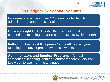

#### **Fulbright U.S. Scholar Programs**

Programs are active in over 125 countries for faculty, administrators and professionals

**Core Fulbright U.S. Scholar Program** - Annual competition; teaching and/or research; two to twelve months

**Fulbright Specialist Program** - Six deadlines per year; teaching and development; two to six weeks

**Administrators and Seminar Programs** - Annual competition; teaching, seminar, and/or research; vary from two week to two month exchanges



Sponsored by the U.S. Department of State, **Bureau of Educational and Cultural Affairs** 



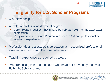

# **Eligibility for U.S. Scholar Programs**

- U.S. citizenship
- A Ph.D. or professional/terminal degree
	- Core Program requires PhD in hand by February 2017 for the 2017-2018 competition
	- Many awards in the Core Program are open to MA and professional or academic experience
- Professionals and artists outside academia recognized professional standing and substantial accomplishments
- Teaching experience as required by award
- Preference is given to candidates who have not previously received a Fulbright Scholar grant



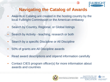

# **Navigating the Catalog of Awards**

- Awards in Catalog are created in the hosting country by the local Fulbright Commission or the American embassy
- Search by Country, Regional, or Global listings
- Search by Activity teaching, research or both
- Search by a specific Discipline or All Discipline
- 50% of grants are All Discipline awards
- Read award descriptions and stipend information carefully
- Contact CIES program officer(s) for more information about awards and countries





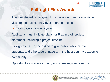

# **Fulbright Flex Awards**

- The Flex Award is designed for scholars who require multiple visits to the host country over short segments
	- May space visits over 2 years
- Applicants must indicate plans for Flex in their project statement, including a project timeline.
- Flex grantees may be asked to give public talks, mentor students, and otherwise engage with the host-country academic community
- Opportunities in some country and some regional awards



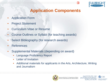

## **Application Components**

- **Application Form**
- **Project Statement**
- Curriculum Vitae or Resume
- Course Outlines or Syllabi (for teaching awards)
- Select Bibliography (for research awards)
- **References**
- Supplemental Materials (depending on award)
	- Language Proficiency Report
	- **Letter of Invitation**
	- Additional materials for applicants in the Arts, Architecture, Writing and Journalism





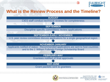

#### **What is the Review Process and the Timeline?**





Sponsored by the U.S. Department of State, **Bureau of Educational and Cultural Affairs**